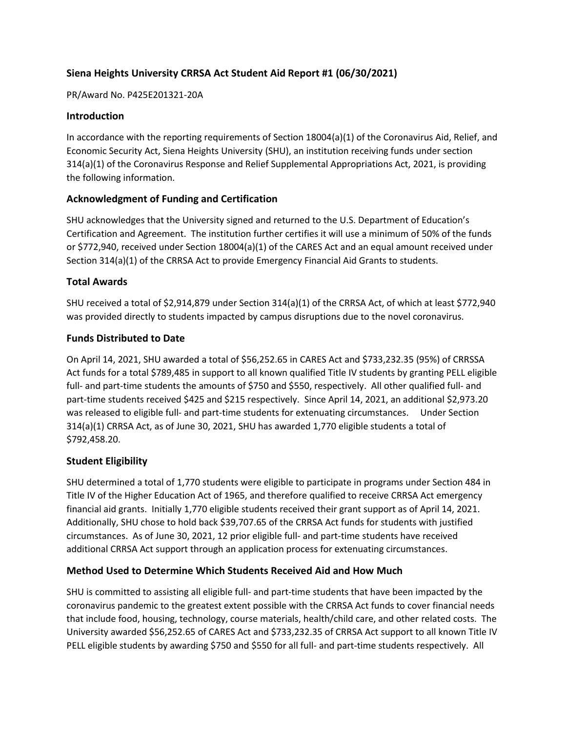# **Siena Heights University CRRSA Act Student Aid Report #1 (06/30/2021)**

#### PR/Award No. P425E201321-20A

#### **Introduction**

In accordance with the reporting requirements of Section 18004(a)(1) of the Coronavirus Aid, Relief, and Economic Security Act, Siena Heights University (SHU), an institution receiving funds under section 314(a)(1) of the Coronavirus Response and Relief Supplemental Appropriations Act, 2021, is providing the following information.

### **Acknowledgment of Funding and Certification**

SHU acknowledges that the University signed and returned to the U.S. Department of Education's Certification and Agreement. The institution further certifies it will use a minimum of 50% of the funds or \$772,940, received under Section 18004(a)(1) of the CARES Act and an equal amount received under Section 314(a)(1) of the CRRSA Act to provide Emergency Financial Aid Grants to students.

### **Total Awards**

SHU received a total of \$2,914,879 under Section 314(a)(1) of the CRRSA Act, of which at least \$772,940 was provided directly to students impacted by campus disruptions due to the novel coronavirus.

### **Funds Distributed to Date**

On April 14, 2021, SHU awarded a total of \$56,252.65 in CARES Act and \$733,232.35 (95%) of CRRSSA Act funds for a total \$789,485 in support to all known qualified Title IV students by granting PELL eligible full- and part-time students the amounts of \$750 and \$550, respectively. All other qualified full- and part-time students received \$425 and \$215 respectively. Since April 14, 2021, an additional \$2,973.20 was released to eligible full- and part-time students for extenuating circumstances. Under Section 314(a)(1) CRRSA Act, as of June 30, 2021, SHU has awarded 1,770 eligible students a total of \$792,458.20.

## **Student Eligibility**

SHU determined a total of 1,770 students were eligible to participate in programs under Section 484 in Title IV of the Higher Education Act of 1965, and therefore qualified to receive CRRSA Act emergency financial aid grants. Initially 1,770 eligible students received their grant support as of April 14, 2021. Additionally, SHU chose to hold back \$39,707.65 of the CRRSA Act funds for students with justified circumstances. As of June 30, 2021, 12 prior eligible full- and part-time students have received additional CRRSA Act support through an application process for extenuating circumstances.

## **Method Used to Determine Which Students Received Aid and How Much**

SHU is committed to assisting all eligible full- and part-time students that have been impacted by the coronavirus pandemic to the greatest extent possible with the CRRSA Act funds to cover financial needs that include food, housing, technology, course materials, health/child care, and other related costs. The University awarded \$56,252.65 of CARES Act and \$733,232.35 of CRRSA Act support to all known Title IV PELL eligible students by awarding \$750 and \$550 for all full- and part-time students respectively. All